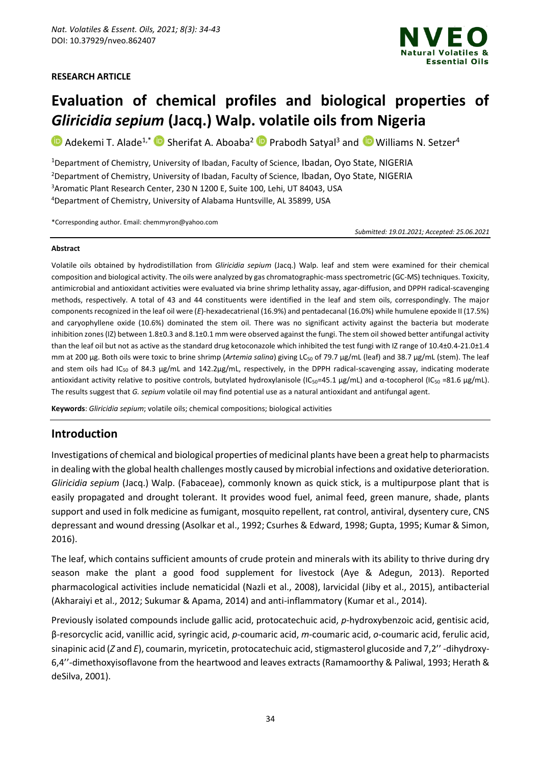#### **RESEARCH ARTICLE**



# **Evaluation of chemical profiles and biological properties of**  *Gliricidia sepium* **(Jacq.) Walp. volatile oils from Nigeria**

 $\bullet$  Adekemi T. Alade<sup>1,\*</sup>  $\bullet$  Sherifat A. Aboaba<sup>2</sup> P Prabodh Satyal<sup>3</sup> and  $\bullet$  Williams N. Setzer<sup>4</sup>

<sup>1</sup>Department of Chemistry, University of Ibadan, Faculty of Science, Ibadan, Oyo State, NIGERIA Department of Chemistry, University of Ibadan, Faculty of Science, Ibadan, Oyo State, NIGERIA Aromatic Plant Research Center, 230 N 1200 E, Suite 100, Lehi, UT 84043, USA Department of Chemistry, University of Alabama Huntsville, AL 35899, USA

\*Corresponding author. Email: chemmyron@yahoo.com

*Submitted: 19.01.2021; Accepted: 25.06.2021*

#### **Abstract**

Volatile oils obtained by hydrodistillation from *Gliricidia sepium* (Jacq.) Walp. leaf and stem were examined for their chemical composition and biological activity. The oils were analyzed by gas chromatographic-mass spectrometric (GC-MS) techniques. Toxicity, antimicrobial and antioxidant activities were evaluated via brine shrimp lethality assay, agar-diffusion, and DPPH radical-scavenging methods, respectively. A total of 43 and 44 constituents were identified in the leaf and stem oils, correspondingly. The major components recognized in the leaf oil were (*E*)-hexadecatrienal (16.9%) and pentadecanal (16.0%) while humulene epoxide II (17.5%) and caryophyllene oxide (10.6%) dominated the stem oil. There was no significant activity against the bacteria but moderate inhibition zones (IZ) between 1.8±0.3 and 8.1±0.1 mm were observed against the fungi. The stem oil showed better antifungal activity than the leaf oil but not as active as the standard drug ketoconazole which inhibited the test fungi with IZ range of 10.4±0.4-21.0±1.4 mm at 200 μg. Both oils were toxic to brine shrimp (*Artemia salina*) giving LC<sub>50</sub> of 79.7 μg/mL (leaf) and 38.7 μg/mL (stem). The leaf and stem oils had IC<sub>50</sub> of 84.3 µg/mL and 142.2µg/mL, respectively, in the DPPH radical-scavenging assay, indicating moderate antioxidant activity relative to positive controls, butylated hydroxylanisole (IC<sub>50</sub>=45.1 μg/mL) and α-tocopherol (IC<sub>50</sub> =81.6 μg/mL). The results suggest that *G. sepium* volatile oil may find potential use as a natural antioxidant and antifungal agent.

**Keywords**: *Gliricidia sepium*; volatile oils; chemical compositions; biological activities

# **Introduction**

Investigations of chemical and biological properties of medicinal plants have been a great help to pharmacists in dealing with the global health challenges mostly caused by microbial infections and oxidative deterioration. *Gliricidia sepium* (Jacq.) Walp. (Fabaceae), commonly known as quick stick, is a multipurpose plant that is easily propagated and drought tolerant. It provides wood fuel, animal feed, green manure, shade, plants support and used in folk medicine as fumigant, mosquito repellent, rat control, antiviral, dysentery cure, CNS depressant and wound dressing (Asolkar et al., 1992; Csurhes & Edward, 1998; Gupta, 1995; Kumar & Simon, 2016).

The leaf, which contains sufficient amounts of crude protein and minerals with its ability to thrive during dry season make the plant a good food supplement for livestock (Aye & Adegun, 2013). Reported pharmacological activities include nematicidal (Nazli et al., 2008), larvicidal (Jiby et al., 2015), antibacterial (Akharaiyi et al., 2012; Sukumar & Apama, 2014) and anti-inflammatory (Kumar et al., 2014).

Previously isolated compounds include gallic acid, protocatechuic acid, *p*-hydroxybenzoic acid, gentisic acid, β-resorcyclic acid, vanillic acid, syringic acid, *p*-coumaric acid, *m*-coumaric acid, *o*-coumaric acid, ferulic acid, sinapinic acid (*Z* and *E*), coumarin, myricetin, protocatechuic acid, stigmasterol glucoside and 7,2'' -dihydroxy-6,4''-dimethoxyisoflavone from the heartwood and leaves extracts (Ramamoorthy & Paliwal, 1993; Herath & deSilva, 2001).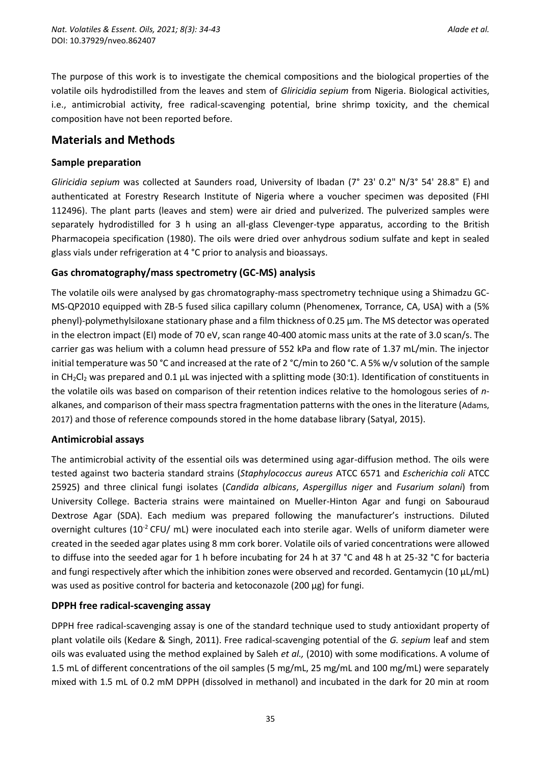The purpose of this work is to investigate the chemical compositions and the biological properties of the volatile oils hydrodistilled from the leaves and stem of *Gliricidia sepium* from Nigeria. Biological activities, i.e., antimicrobial activity, free radical-scavenging potential, brine shrimp toxicity, and the chemical composition have not been reported before.

## **Materials and Methods**

### **Sample preparation**

*Gliricidia sepium* was collected at Saunders road, University of Ibadan (7° 23' 0.2" N/3° 54' 28.8" E) and authenticated at Forestry Research Institute of Nigeria where a voucher specimen was deposited (FHI 112496). The plant parts (leaves and stem) were air dried and pulverized. The pulverized samples were separately hydrodistilled for 3 h using an all-glass Clevenger-type apparatus, according to the British Pharmacopeia specification (1980). The oils were dried over anhydrous sodium sulfate and kept in sealed glass vials under refrigeration at 4 °C prior to analysis and bioassays.

### **Gas chromatography/mass spectrometry (GC-MS) analysis**

The volatile oils were analysed by gas chromatography-mass spectrometry technique using a Shimadzu GC-MS-QP2010 equipped with ZB-5 fused silica capillary column (Phenomenex, Torrance, CA, USA) with a (5% phenyl)-polymethylsiloxane stationary phase and a film thickness of 0.25 µm. The MS detector was operated in the electron impact (EI) mode of 70 eV, scan range 40-400 atomic mass units at the rate of 3.0 scan/s. The carrier gas was helium with a column head pressure of 552 kPa and flow rate of 1.37 mL/min. The injector initial temperature was 50 °C and increased at the rate of 2 °C/min to 260 °C. A 5% w/v solution of the sample in CH<sub>2</sub>Cl<sub>2</sub> was prepared and 0.1 µL was injected with a splitting mode (30:1). Identification of constituents in the volatile oils was based on comparison of their retention indices relative to the homologous series of *n*alkanes, and comparison of their mass spectra fragmentation patterns with the ones in the literature (Adams, 2017) and those of reference compounds stored in the home database library (Satyal, 2015).

#### **Antimicrobial assays**

The antimicrobial activity of the essential oils was determined using agar-diffusion method. The oils were tested against two bacteria standard strains (*Staphylococcus aureus* ATCC 6571 and *Escherichia coli* ATCC 25925) and three clinical fungi isolates (*Candida albicans*, *Aspergillus niger* and *Fusarium solani*) from University College. Bacteria strains were maintained on Mueller-Hinton Agar and fungi on Sabouraud Dextrose Agar (SDA). Each medium was prepared following the manufacturer's instructions. Diluted overnight cultures ( $10^{-2}$  CFU/ mL) were inoculated each into sterile agar. Wells of uniform diameter were created in the seeded agar plates using 8 mm cork borer. Volatile oils of varied concentrations were allowed to diffuse into the seeded agar for 1 h before incubating for 24 h at 37 °C and 48 h at 25-32 °C for bacteria and fungi respectively after which the inhibition zones were observed and recorded. Gentamycin (10 µL/mL) was used as positive control for bacteria and ketoconazole (200 µg) for fungi.

## **DPPH free radical-scavenging assay**

DPPH free radical-scavenging assay is one of the standard technique used to study antioxidant property of plant volatile oils (Kedare & Singh, 2011). Free radical-scavenging potential of the *G. sepium* leaf and stem oils was evaluated using the method explained by Saleh *et al.,* (2010) with some modifications. A volume of 1.5 mL of different concentrations of the oil samples (5 mg/mL, 25 mg/mL and 100 mg/mL) were separately mixed with 1.5 mL of 0.2 mM DPPH (dissolved in methanol) and incubated in the dark for 20 min at room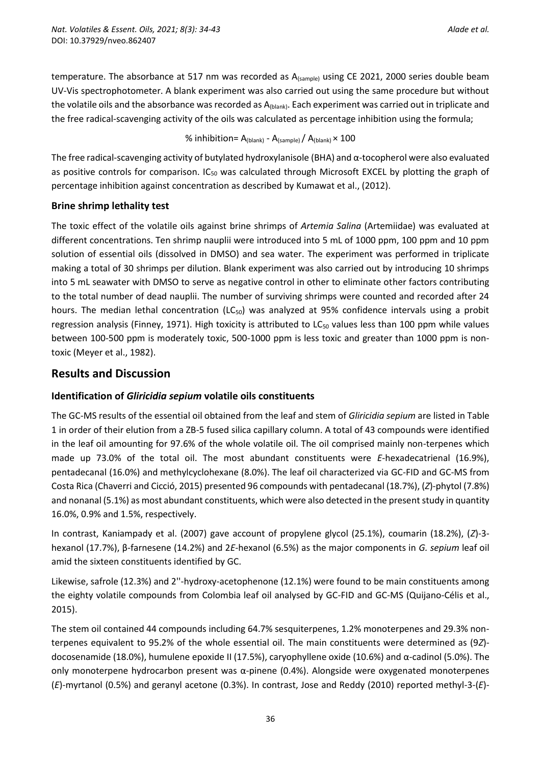temperature. The absorbance at 517 nm was recorded as A<sub>(sample)</sub> using CE 2021, 2000 series double beam UV-Vis spectrophotometer. A blank experiment was also carried out using the same procedure but without the volatile oils and the absorbance was recorded as  $A_{(blank)}$ . Each experiment was carried out in triplicate and the free radical-scavenging activity of the oils was calculated as percentage inhibition using the formula;

#### % inhibition=  $A_{(blank)} - A_{(sample)} / A_{(blank)} \times 100$

The free radical-scavenging activity of butylated hydroxylanisole (BHA) and  $\alpha$ -tocopherol were also evaluated as positive controls for comparison. IC<sub>50</sub> was calculated through Microsoft EXCEL by plotting the graph of percentage inhibition against concentration as described by Kumawat et al., (2012).

### **Brine shrimp lethality test**

The toxic effect of the volatile oils against brine shrimps of *Artemia Salina* (Artemiidae) was evaluated at different concentrations. Ten shrimp nauplii were introduced into 5 mL of 1000 ppm, 100 ppm and 10 ppm solution of essential oils (dissolved in DMSO) and sea water. The experiment was performed in triplicate making a total of 30 shrimps per dilution. Blank experiment was also carried out by introducing 10 shrimps into 5 mL seawater with DMSO to serve as negative control in other to eliminate other factors contributing to the total number of dead nauplii. The number of surviving shrimps were counted and recorded after 24 hours. The median lethal concentration (LC<sub>50</sub>) was analyzed at 95% confidence intervals using a probit regression analysis (Finney, 1971). High toxicity is attributed to LC<sub>50</sub> values less than 100 ppm while values between 100-500 ppm is moderately toxic, 500-1000 ppm is less toxic and greater than 1000 ppm is nontoxic (Meyer et al., 1982).

# **Results and Discussion**

## **Identification of** *Gliricidia sepium* **volatile oils constituents**

The GC-MS results of the essential oil obtained from the leaf and stem of *Gliricidia sepium* are listed in Table 1 in order of their elution from a ZB-5 fused silica capillary column. A total of 43 compounds were identified in the leaf oil amounting for 97.6% of the whole volatile oil. The oil comprised mainly non-terpenes which made up 73.0% of the total oil. The most abundant constituents were *E*-hexadecatrienal (16.9%), pentadecanal (16.0%) and methylcyclohexane (8.0%). The leaf oil characterized via GC-FID and GC-MS from Costa Rica (Chaverri and Cicció, 2015) presented 96 compounds with pentadecanal (18.7%), (*Z*)-phytol (7.8%) and nonanal (5.1%) as most abundant constituents, which were also detected in the present study in quantity 16.0%, 0.9% and 1.5%, respectively.

In contrast, Kaniampady et al. (2007) gave account of propylene glycol (25.1%), coumarin (18.2%), (*Z*)-3 hexanol (17.7%), β-farnesene (14.2%) and 2*E*-hexanol (6.5%) as the major components in *G. sepium* leaf oil amid the sixteen constituents identified by GC.

Likewise, safrole (12.3%) and 2''-hydroxy-acetophenone (12.1%) were found to be main constituents among the eighty volatile compounds from Colombia leaf oil analysed by GC-FID and GC-MS (Quijano-Célis et al., 2015).

The stem oil contained 44 compounds including 64.7% sesquiterpenes, 1.2% monoterpenes and 29.3% nonterpenes equivalent to 95.2% of the whole essential oil. The main constituents were determined as (9*Z*) docosenamide (18.0%), humulene epoxide II (17.5%), caryophyllene oxide (10.6%) and α-cadinol (5.0%). The only monoterpene hydrocarbon present was  $\alpha$ -pinene (0.4%). Alongside were oxygenated monoterpenes (*E*)-myrtanol (0.5%) and geranyl acetone (0.3%). In contrast, Jose and Reddy (2010) reported methyl-3-(*E*)-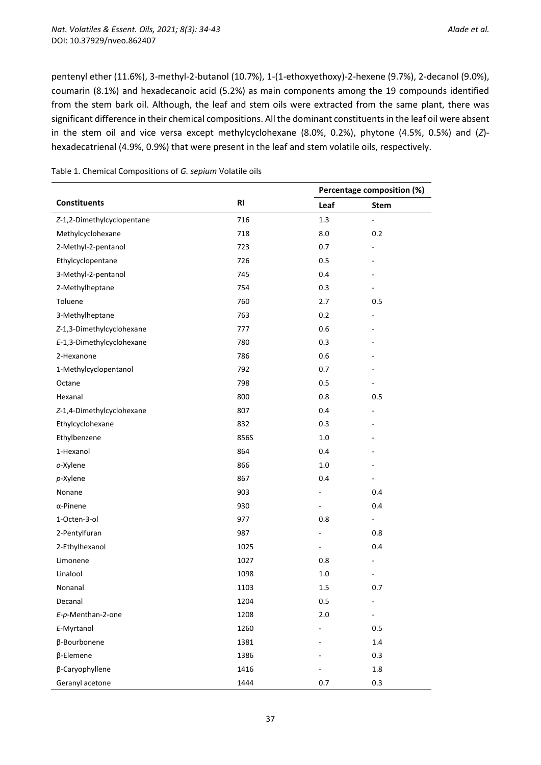pentenyl ether (11.6%), 3-methyl-2-butanol (10.7%), 1-(1-ethoxyethoxy)-2-hexene (9.7%), 2-decanol (9.0%), coumarin (8.1%) and hexadecanoic acid (5.2%) as main components among the 19 compounds identified from the stem bark oil. Although, the leaf and stem oils were extracted from the same plant, there was significant difference in their chemical compositions. All the dominant constituents in the leaf oil were absent in the stem oil and vice versa except methylcyclohexane (8.0%, 0.2%), phytone (4.5%, 0.5%) and (*Z*) hexadecatrienal (4.9%, 0.9%) that were present in the leaf and stem volatile oils, respectively.

|                            |           | Percentage composition (%) |                              |
|----------------------------|-----------|----------------------------|------------------------------|
| <b>Constituents</b>        | <b>RI</b> | Leaf                       | Stem                         |
| Z-1,2-Dimethylcyclopentane | 716       | 1.3                        | $\qquad \qquad \blacksquare$ |
| Methylcyclohexane          | 718       | 8.0                        | 0.2                          |
| 2-Methyl-2-pentanol        | 723       | 0.7                        |                              |
| Ethylcyclopentane          | 726       | 0.5                        |                              |
| 3-Methyl-2-pentanol        | 745       | 0.4                        |                              |
| 2-Methylheptane            | 754       | 0.3                        |                              |
| Toluene                    | 760       | 2.7                        | 0.5                          |
| 3-Methylheptane            | 763       | 0.2                        |                              |
| Z-1,3-Dimethylcyclohexane  | 777       | 0.6                        |                              |
| E-1,3-Dimethylcyclohexane  | 780       | 0.3                        |                              |
| 2-Hexanone                 | 786       | 0.6                        |                              |
| 1-Methylcyclopentanol      | 792       | 0.7                        |                              |
| Octane                     | 798       | 0.5                        |                              |
| Hexanal                    | 800       | 0.8                        | 0.5                          |
| Z-1,4-Dimethylcyclohexane  | 807       | 0.4                        |                              |
| Ethylcyclohexane           | 832       | 0.3                        |                              |
| Ethylbenzene               | 856S      | 1.0                        |                              |
| 1-Hexanol                  | 864       | 0.4                        |                              |
| o-Xylene                   | 866       | 1.0                        |                              |
| p-Xylene                   | 867       | 0.4                        |                              |
| Nonane                     | 903       |                            | 0.4                          |
| $\alpha$ -Pinene           | 930       |                            | 0.4                          |
| 1-Octen-3-ol               | 977       | 0.8                        | $\qquad \qquad \blacksquare$ |
| 2-Pentylfuran              | 987       |                            | 0.8                          |
| 2-Ethylhexanol             | 1025      | $\overline{\phantom{0}}$   | 0.4                          |
| Limonene                   | 1027      | 0.8                        |                              |
| Linalool                   | 1098      | 1.0                        |                              |
| Nonanal                    | 1103      | 1.5                        | 0.7                          |
| Decanal                    | 1204      | 0.5                        | $\overline{\phantom{a}}$     |
| E-p-Menthan-2-one          | 1208      | 2.0                        |                              |
| E-Myrtanol                 | 1260      |                            | 0.5                          |
| β-Bourbonene               | 1381      |                            | 1.4                          |
| β-Elemene                  | 1386      |                            | 0.3                          |
| β-Caryophyllene            | 1416      |                            | $1.8\,$                      |
| Geranyl acetone            | 1444      | 0.7                        | 0.3                          |

Table 1. Chemical Compositions of *G. sepium* Volatile oils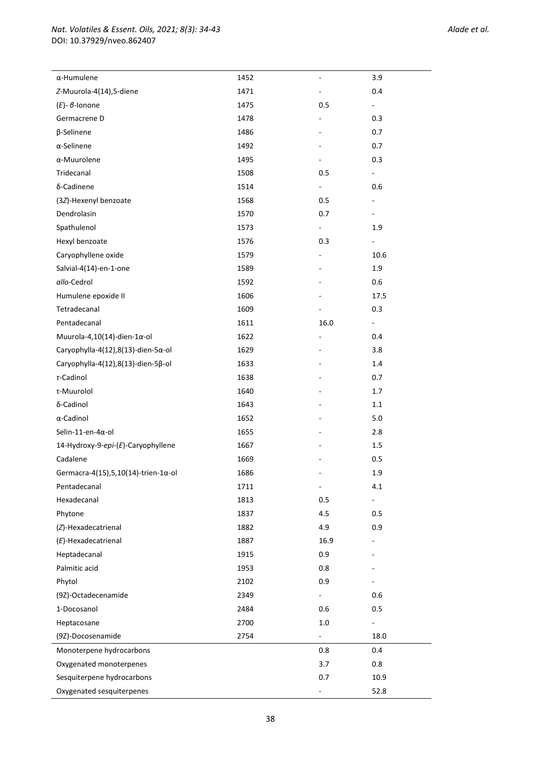| $\alpha$ -Humulene                          | 1452 | ÷,                       | 3.9                      |  |
|---------------------------------------------|------|--------------------------|--------------------------|--|
| Z-Muurola-4(14),5-diene                     | 1471 |                          | 0.4                      |  |
| $(E)$ - $\beta$ -Ionone                     | 1475 | 0.5                      |                          |  |
| Germacrene D                                | 1478 |                          | 0.3                      |  |
| β-Selinene                                  | 1486 |                          | 0.7                      |  |
| $\alpha$ -Selinene                          | 1492 |                          | 0.7                      |  |
| α-Muurolene                                 | 1495 |                          | 0.3                      |  |
| Tridecanal                                  | 1508 | 0.5                      |                          |  |
| δ-Cadinene                                  | 1514 | $\overline{\phantom{0}}$ | 0.6                      |  |
| (3Z)-Hexenyl benzoate                       | 1568 | 0.5                      |                          |  |
| Dendrolasin                                 | 1570 | 0.7                      |                          |  |
| Spathulenol                                 | 1573 | $\blacksquare$           | 1.9                      |  |
| Hexyl benzoate                              | 1576 | 0.3                      | $\overline{\phantom{0}}$ |  |
| Caryophyllene oxide                         | 1579 |                          | 10.6                     |  |
| Salvial-4(14)-en-1-one                      | 1589 |                          | 1.9                      |  |
| allo-Cedrol                                 | 1592 |                          | 0.6                      |  |
| Humulene epoxide II                         | 1606 |                          | 17.5                     |  |
| Tetradecanal                                |      |                          |                          |  |
|                                             | 1609 |                          | 0.3                      |  |
| Pentadecanal                                | 1611 | 16.0                     |                          |  |
| Muurola-4,10(14)-dien-1 $\alpha$ -ol        | 1622 |                          | 0.4                      |  |
| Caryophylla-4(12),8(13)-dien-5 $\alpha$ -ol | 1629 |                          | 3.8                      |  |
| Caryophylla-4(12),8(13)-dien-5ß-ol          | 1633 |                          | 1.4                      |  |
| $\tau$ -Cadinol                             | 1638 |                          | 0.7                      |  |
| τ-Muurolol                                  | 1640 |                          | 1.7                      |  |
| δ-Cadinol                                   | 1643 |                          | $1.1\,$                  |  |
| α-Cadinol                                   | 1652 |                          | 5.0                      |  |
| Selin-11-en-4α-ol                           | 1655 |                          | 2.8                      |  |
| 14-Hydroxy-9-epi-(E)-Caryophyllene          | 1667 |                          | 1.5                      |  |
| Cadalene                                    | 1669 |                          | 0.5                      |  |
| Germacra-4(15),5,10(14)-trien-1α-ol         | 1686 |                          | 1.9                      |  |
| Pentadecanal                                | 1711 | $\overline{\phantom{a}}$ | 4.1                      |  |
| Hexadecanal                                 | 1813 | 0.5                      |                          |  |
| Phytone                                     | 1837 | 4.5                      | 0.5                      |  |
| (Z)-Hexadecatrienal                         | 1882 | 4.9                      | 0.9                      |  |
| $(E)$ -Hexadecatrienal                      | 1887 | 16.9                     |                          |  |
| Heptadecanal                                | 1915 | 0.9                      |                          |  |
| Palmitic acid                               | 1953 | 0.8                      |                          |  |
| Phytol                                      | 2102 | 0.9                      |                          |  |
| (9Z)-Octadecenamide                         | 2349 |                          | 0.6                      |  |
| 1-Docosanol                                 | 2484 | 0.6                      | 0.5                      |  |
| Heptacosane                                 | 2700 | 1.0                      |                          |  |
| (9Z)-Docosenamide                           | 2754 | $\blacksquare$           | 18.0                     |  |
| Monoterpene hydrocarbons                    |      | 0.8                      | 0.4                      |  |
| Oxygenated monoterpenes                     |      | 3.7                      | 0.8                      |  |
| Sesquiterpene hydrocarbons                  |      | 0.7                      | 10.9                     |  |
| Oxygenated sesquiterpenes                   |      |                          | 52.8                     |  |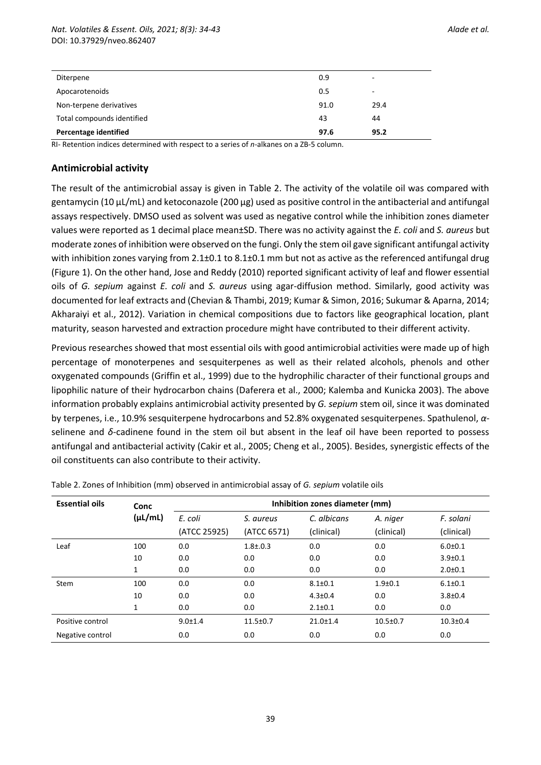| Diterpene                    | 0.9  | ۰    |
|------------------------------|------|------|
| Apocarotenoids               | 0.5  | ۰    |
| Non-terpene derivatives      | 91.0 | 29.4 |
| Total compounds identified   | 43   | 44   |
| <b>Percentage identified</b> | 97.6 | 95.2 |

RI- Retention indices determined with respect to a series of *n*-alkanes on a ZB-5 column.

#### **Antimicrobial activity**

The result of the antimicrobial assay is given in Table 2. The activity of the volatile oil was compared with gentamycin (10 µL/mL) and ketoconazole (200 µg) used as positive control in the antibacterial and antifungal assays respectively. DMSO used as solvent was used as negative control while the inhibition zones diameter values were reported as 1 decimal place mean±SD. There was no activity against the *E. coli* and *S. aureus* but moderate zones of inhibition were observed on the fungi. Only the stem oil gave significant antifungal activity with inhibition zones varying from 2.1±0.1 to 8.1±0.1 mm but not as active as the referenced antifungal drug (Figure 1). On the other hand, Jose and Reddy (2010) reported significant activity of leaf and flower essential oils of *G. sepium* against *E. coli* and *S. aureus* using agar-diffusion method. Similarly, good activity was documented for leaf extracts and (Chevian & Thambi, 2019; Kumar & Simon, 2016; Sukumar & Aparna, 2014; Akharaiyi et al., 2012). Variation in chemical compositions due to factors like geographical location, plant maturity, season harvested and extraction procedure might have contributed to their different activity.

Previous researches showed that most essential oils with good antimicrobial activities were made up of high percentage of monoterpenes and sesquiterpenes as well as their related alcohols, phenols and other oxygenated compounds (Griffin et al., 1999) due to the hydrophilic character of their functional groups and lipophilic nature of their hydrocarbon chains (Daferera et al., 2000; Kalemba and Kunicka 2003). The above information probably explains antimicrobial activity presented by *G. sepium* stem oil, since it was dominated by terpenes, i.e., 10.9% sesquiterpene hydrocarbons and 52.8% oxygenated sesquiterpenes. Spathulenol, *α*selinene and *δ*-cadinene found in the stem oil but absent in the leaf oil have been reported to possess antifungal and antibacterial activity (Cakir et al., 2005; Cheng et al., 2005). Besides, synergistic effects of the oil constituents can also contribute to their activity.

| <b>Essential oils</b> | Conc         | Inhibition zones diameter (mm) |                |                |                |               |
|-----------------------|--------------|--------------------------------|----------------|----------------|----------------|---------------|
|                       | $(\mu L/mL)$ | E. coli                        | S. aureus      | C. albicans    | A. niger       | F. solani     |
|                       |              | (ATCC 25925)                   | (ATCC 6571)    | (clinical)     | (clinical)     | (clinical)    |
| Leaf                  | 100          | 0.0                            | $1.8{\pm}.0.3$ | 0.0            | 0.0            | $6.0 + 0.1$   |
|                       | 10           | 0.0                            | 0.0            | 0.0            | 0.0            | $3.9 + 0.1$   |
|                       | 1            | 0.0                            | 0.0            | 0.0            | 0.0            | $2.0 \pm 0.1$ |
| Stem                  | 100          | 0.0                            | 0.0            | $8.1 \pm 0.1$  | $1.9 + 0.1$    | $6.1 \pm 0.1$ |
|                       | 10           | 0.0                            | 0.0            | $4.3 \pm 0.4$  | 0.0            | $3.8 + 0.4$   |
|                       | 1            | 0.0                            | 0.0            | $2.1 \pm 0.1$  | 0.0            | 0.0           |
| Positive control      |              | $9.0 \pm 1.4$                  | $11.5 \pm 0.7$ | $21.0 \pm 1.4$ | $10.5 \pm 0.7$ | $10.3 + 0.4$  |
| Negative control      |              | 0.0                            | 0.0            | 0.0            | 0.0            | 0.0           |

Table 2. Zones of Inhibition (mm) observed in antimicrobial assay of *G. sepium* volatile oils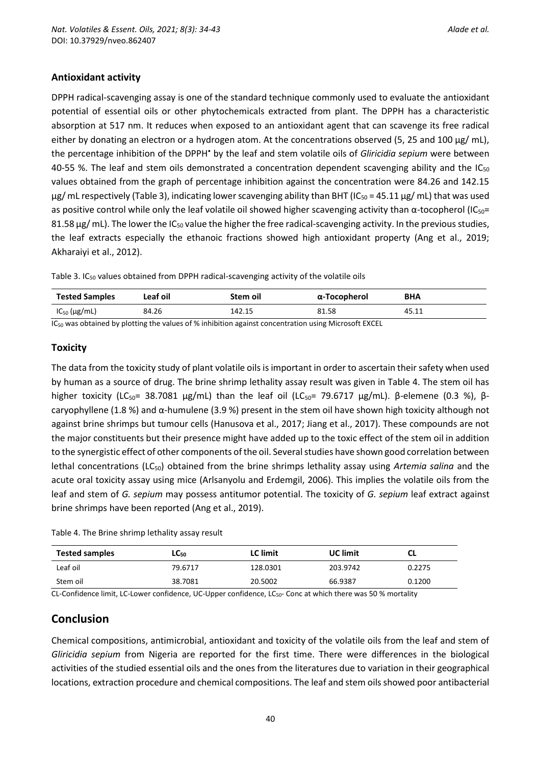#### **Antioxidant activity**

DPPH radical-scavenging assay is one of the standard technique commonly used to evaluate the antioxidant potential of essential oils or other phytochemicals extracted from plant. The DPPH has a characteristic absorption at 517 nm. It reduces when exposed to an antioxidant agent that can scavenge its free radical either by donating an electron or a hydrogen atom. At the concentrations observed (5, 25 and 100  $\mu$ g/ mL), the percentage inhibition of the DPPH• by the leaf and stem volatile oils of *Gliricidia sepium* were between 40-55 %. The leaf and stem oils demonstrated a concentration dependent scavenging ability and the  $IC_{50}$ values obtained from the graph of percentage inhibition against the concentration were 84.26 and 142.15  $\mu$ g/ mL respectively (Table 3), indicating lower scavenging ability than BHT (IC<sub>50</sub> = 45.11  $\mu$ g/ mL) that was used as positive control while only the leaf volatile oil showed higher scavenging activity than  $\alpha$ -tocopherol (IC<sub>50</sub>= 81.58 µg/ mL). The lower the IC<sub>50</sub> value the higher the free radical-scavenging activity. In the previous studies, the leaf extracts especially the ethanoic fractions showed high antioxidant property (Ang et al., 2019; Akharaiyi et al., 2012).

Table 3. IC<sup>50</sup> values obtained from DPPH radical-scavenging activity of the volatile oils

| <b>Tested Samples</b> | Leaf oil | Stem oil | α-Tocopherol                                                                                                                                                                                                                         | <b>BHA</b> |
|-----------------------|----------|----------|--------------------------------------------------------------------------------------------------------------------------------------------------------------------------------------------------------------------------------------|------------|
| $IC_{50}$ (µg/mL)     | 84.26    | 142.15   | 81.58                                                                                                                                                                                                                                | 45.11      |
|                       |          |          | $\mathbf{r}$ , and the set of the set of the set of $\mathbf{r}$ , and the set of the set of the set of the set of the set of the set of the set of the set of the set of the set of the set of the set of the set of the set of the |            |

 $IC_{50}$  was obtained by plotting the values of % inhibition against concentration using Microsoft EXCEL

#### **Toxicity**

The data from the toxicity study of plant volatile oils is important in order to ascertain their safety when used by human as a source of drug. The brine shrimp lethality assay result was given in Table 4. The stem oil has higher toxicity (LC<sub>50</sub>= 38.7081 μg/mL) than the leaf oil (LC<sub>50</sub>= 79.6717 μg/mL). β-elemene (0.3 %), βcaryophyllene (1.8 %) and α-humulene (3.9 %) present in the stem oil have shown high toxicity although not against brine shrimps but tumour cells (Hanusova et al., 2017; Jiang et al., 2017). These compounds are not the major constituents but their presence might have added up to the toxic effect of the stem oil in addition to the synergistic effect of other components of the oil. Several studies have shown good correlation between lethal concentrations (LC<sub>50</sub>) obtained from the brine shrimps lethality assay using *Artemia salina* and the acute oral toxicity assay using mice (Arlsanyolu and Erdemgil, 2006). This implies the volatile oils from the leaf and stem of *G. sepium* may possess antitumor potential. The toxicity of *G. sepium* leaf extract against brine shrimps have been reported (Ang et al., 2019).

| Table 4. The Brine shrimp lethality assay result |  |  |  |  |  |  |  |
|--------------------------------------------------|--|--|--|--|--|--|--|
|--------------------------------------------------|--|--|--|--|--|--|--|

| <b>Tested samples</b> | LC50    | <b>LC</b> limit | <b>UC</b> limit | CL     |
|-----------------------|---------|-----------------|-----------------|--------|
| Leaf oil              | 79.6717 | 128.0301        | 203.9742        | 0.2275 |
| Stem oil              | 38.7081 | 20.5002         | 66.9387         | 0.1200 |

CL-Confidence limit, LC-Lower confidence, UC-Upper confidence, LC<sub>50</sub>- Conc at which there was 50 % mortality

# **Conclusion**

Chemical compositions, antimicrobial, antioxidant and toxicity of the volatile oils from the leaf and stem of *Gliricidia sepium* from Nigeria are reported for the first time. There were differences in the biological activities of the studied essential oils and the ones from the literatures due to variation in their geographical locations, extraction procedure and chemical compositions. The leaf and stem oils showed poor antibacterial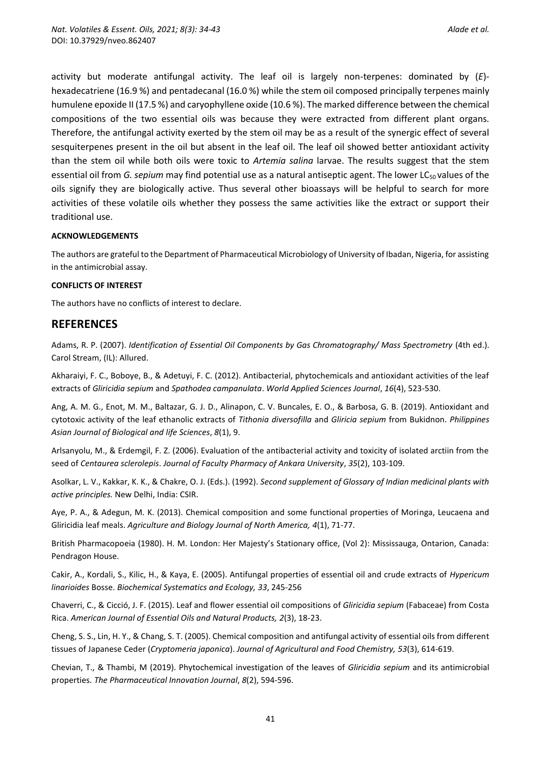activity but moderate antifungal activity. The leaf oil is largely non-terpenes: dominated by (*E*) hexadecatriene (16.9 %) and pentadecanal (16.0 %) while the stem oil composed principally terpenes mainly humulene epoxide II (17.5 %) and caryophyllene oxide (10.6 %). The marked difference between the chemical compositions of the two essential oils was because they were extracted from different plant organs. Therefore, the antifungal activity exerted by the stem oil may be as a result of the synergic effect of several sesquiterpenes present in the oil but absent in the leaf oil. The leaf oil showed better antioxidant activity than the stem oil while both oils were toxic to *Artemia salina* larvae. The results suggest that the stem essential oil from *G. sepium* may find potential use as a natural antiseptic agent. The lower LC<sub>50</sub> values of the oils signify they are biologically active. Thus several other bioassays will be helpful to search for more activities of these volatile oils whether they possess the same activities like the extract or support their traditional use.

#### **ACKNOWLEDGEMENTS**

The authors are grateful to the Department of Pharmaceutical Microbiology of University of Ibadan, Nigeria, for assisting in the antimicrobial assay.

#### **CONFLICTS OF INTEREST**

The authors have no conflicts of interest to declare.

#### **REFERENCES**

Adams, R. P. (2007). *Identification of Essential Oil Components by Gas Chromatography/ Mass Spectrometry* (4th ed.). Carol Stream, (IL): Allured.

Akharaiyi, F. C., Boboye, B., & Adetuyi, F. C. (2012). Antibacterial, phytochemicals and antioxidant activities of the leaf extracts of *Gliricidia sepium* and *Spathodea campanulata*. *World Applied Sciences Journal*, *16*(4), 523-530.

Ang, A. M. G., Enot, M. M., Baltazar, G. J. D., Alinapon, C. V. Buncales, E. O., & Barbosa, G. B. (2019). Antioxidant and cytotoxic activity of the leaf ethanolic extracts of *Tithonia diversofilla* and *Gliricia sepium* from Bukidnon. *Philippines Asian Journal of Biological and life Sciences*, *8*(1), 9.

Arlsanyolu, M., & Erdemgil, F. Z. (2006). Evaluation of the antibacterial activity and toxicity of isolated arctiin from the seed of *Centaurea sclerolepis*. *Journal of Faculty Pharmacy of Ankara University*, *35*(2), 103-109.

Asolkar, L. V., Kakkar, K. K., & Chakre, O. J. (Eds.). (1992). *Second supplement of Glossary of Indian medicinal plants with active principles.* New Delhi, India: CSIR.

Aye, P. A., & Adegun, M. K. (2013). Chemical composition and some functional properties of Moringa, Leucaena and Gliricidia leaf meals. *Agriculture and Biology Journal of North America, 4*(1), 71-77.

British Pharmacopoeia (1980). H. M. London: Her Majesty's Stationary office, (Vol 2): Mississauga, Ontarion, Canada: Pendragon House.

Cakir, A., Kordali, S., Kilic, H., & Kaya, E. (2005). Antifungal properties of essential oil and crude extracts of *Hypericum linarioides* Bosse. *Biochemical Systematics and Ecology, 33*, 245-256

Chaverri, C., & Cicció, J. F. (2015). Leaf and flower essential oil compositions of *Gliricidia sepium* (Fabaceae) from Costa Rica. *American Journal of Essential Oils and Natural Products, 2*(3), 18-23.

Cheng, S. S., Lin, H. Y., & Chang, S. T. (2005). Chemical composition and antifungal activity of essential oils from different tissues of Japanese Ceder (*Cryptomeria japonica*). *Journal of Agricultural and Food Chemistry, 53*(3), 614-619.

Chevian, T., & Thambi, M (2019). Phytochemical investigation of the leaves of *Gliricidia sepium* and its antimicrobial properties. *The Pharmaceutical Innovation Journal*, *8*(2), 594-596.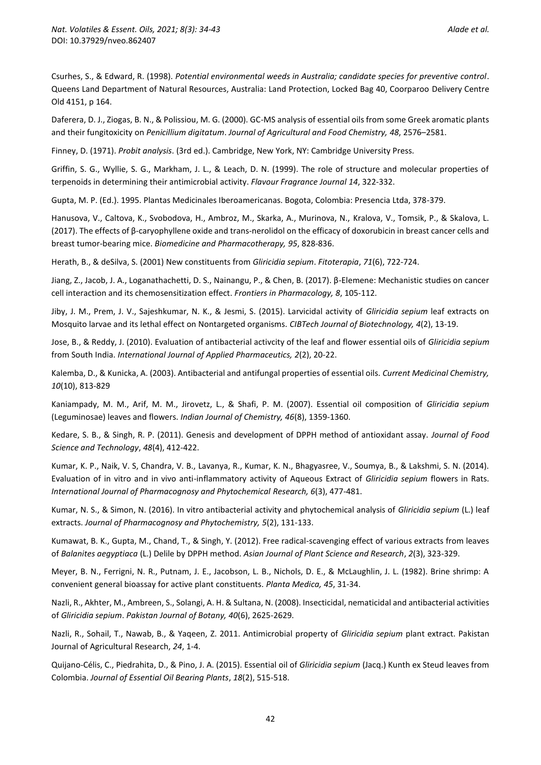Csurhes, S., & Edward, R. (1998). *Potential environmental weeds in Australia; candidate species for preventive control*. Queens Land Department of Natural Resources, Australia: Land Protection, Locked Bag 40, Coorparoo Delivery Centre Old 4151, p 164.

Daferera, D. J., Ziogas, B. N., & Polissiou, M. G. (2000). GC-MS analysis of essential oils from some Greek aromatic plants and their fungitoxicity on *Penicillium digitatum*. *Journal of Agricultural and Food Chemistry, 48*, 2576–2581.

Finney, D. (1971). *Probit analysis*. (3rd ed.). Cambridge, New York, NY: Cambridge University Press.

Griffin, S. G., Wyllie, S. G., Markham, J. L., & Leach, D. N. (1999). The role of structure and molecular properties of terpenoids in determining their antimicrobial activity. *Flavour Fragrance Journal 14*, 322-332.

Gupta, M. P. (Ed.). 1995. Plantas Medicinales Iberoamericanas. Bogota, Colombia: Presencia Ltda, 378-379.

Hanusova, V., Caltova, K., Svobodova, H., Ambroz, M., Skarka, A., Murinova, N., Kralova, V., Tomsik, P., & Skalova, L. (2017). The effects of β-caryophyllene oxide and trans-nerolidol on the efficacy of doxorubicin in breast cancer cells and breast tumor-bearing mice. *Biomedicine and Pharmacotherapy, 95*, 828-836.

Herath, B., & deSilva, S. (2001) New constituents from *Gliricidia sepium*. *Fitoterapia*, *71*(6), 722-724.

Jiang, Z., Jacob, J. A., Loganathachetti, D. S., Nainangu, P., & Chen, B. (2017). β-Elemene: Mechanistic studies on cancer cell interaction and its chemosensitization effect. *Frontiers in Pharmacology, 8*, 105-112.

Jiby, J. M., Prem, J. V., Sajeshkumar, N. K., & Jesmi, S. (2015). Larvicidal activity of *Gliricidia sepium* leaf extracts on Mosquito larvae and its lethal effect on Nontargeted organisms. *CIBTech Journal of Biotechnology, 4*(2), 13-19.

Jose, B., & Reddy, J. (2010). Evaluation of antibacterial activcity of the leaf and flower essential oils of *Gliricidia sepium* from South India. *International Journal of Applied Pharmaceutics, 2*(2), 20-22.

Kalemba, D., & Kunicka, A. (2003). Antibacterial and antifungal properties of essential oils. *Current Medicinal Chemistry, 10*(10), 813-829

Kaniampady, M. M., Arif, M. M., Jirovetz, L., & Shafi, P. M. (2007). Essential oil composition of *Gliricidia sepium* (Leguminosae) leaves and flowers. *Indian Journal of Chemistry, 46*(8), 1359-1360.

Kedare, S. B., & Singh, R. P. (2011). Genesis and development of DPPH method of antioxidant assay. *Journal of Food Science and Technology*, *48*(4), 412-422.

Kumar, K. P., Naik, V. S, Chandra, V. B., Lavanya, R., Kumar, K. N., Bhagyasree, V., Soumya, B., & Lakshmi, S. N. (2014). Evaluation of in vitro and in vivo anti-inflammatory activity of Aqueous Extract of *Gliricidia sepium* flowers in Rats. *International Journal of Pharmacognosy and Phytochemical Research, 6*(3), 477-481.

Kumar, N. S., & Simon, N. (2016). In vitro antibacterial activity and phytochemical analysis of *Gliricidia sepium* (L.) leaf extracts. *Journal of Pharmacognosy and Phytochemistry, 5*(2), 131-133.

Kumawat, B. K., Gupta, M., Chand, T., & Singh, Y. (2012). Free radical-scavenging effect of various extracts from leaves of *Balanites aegyptiaca* (L.) Delile by DPPH method. *Asian Journal of Plant Science and Research*, *2*(3), 323-329.

Meyer, B. N., Ferrigni, N. R., Putnam, J. E., Jacobson, L. B., Nichols, D. E., & McLaughlin, J. L. (1982). Brine shrimp: A convenient general bioassay for active plant constituents. *Planta Medica, 45*, 31-34.

Nazli, R., Akhter, M., Ambreen, S., Solangi, A. H. & Sultana, N. (2008). Insecticidal, nematicidal and antibacterial activities of *Gliricidia sepium*. *Pakistan Journal of Botany, 40*(6), 2625-2629.

Nazli, R., Sohail, T., Nawab, B., & Yaqeen, Z. 2011. Antimicrobial property of *Gliricidia sepium* plant extract. Pakistan Journal of Agricultural Research, *24*, 1-4.

Quijano-Célis, C., Piedrahita, D., & Pino, J. A. (2015). Essential oil of *Gliricidia sepium* (Jacq.) Kunth ex Steud leaves from Colombia. *Journal of Essential Oil Bearing Plants*, *18*(2), 515-518.